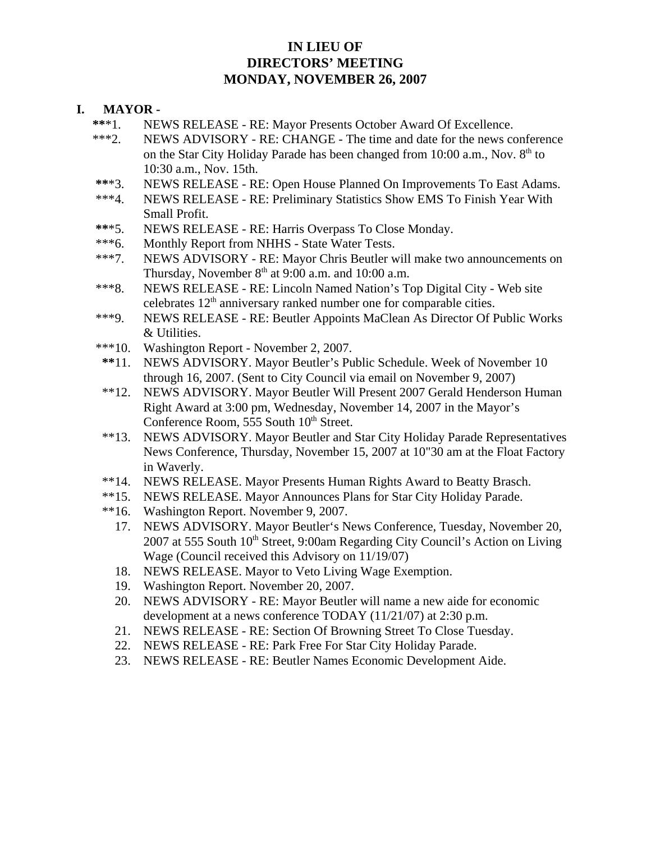## **IN LIEU OF DIRECTORS' MEETING MONDAY, NOVEMBER 26, 2007**

### **I. MAYOR -**

- **\*\***\*1. NEWS RELEASE RE: Mayor Presents October Award Of Excellence.
- \*\*\*2. NEWS ADVISORY RE: CHANGE The time and date for the news conference on the Star City Holiday Parade has been changed from  $10:00$  a.m., Nov.  $8<sup>th</sup>$  to 10:30 a.m., Nov. 15th.
- **\*\***\*3. NEWS RELEASE RE: Open House Planned On Improvements To East Adams.
- \*\*\*4. NEWS RELEASE RE: Preliminary Statistics Show EMS To Finish Year With Small Profit.
- **\*\***\*5. NEWS RELEASE RE: Harris Overpass To Close Monday.
- \*\*\*6. Monthly Report from NHHS State Water Tests.
- \*\*\*7. NEWS ADVISORY RE: Mayor Chris Beutler will make two announcements on Thursday, November  $8<sup>th</sup>$  at 9:00 a.m. and 10:00 a.m.
- \*\*\*8. NEWS RELEASE RE: Lincoln Named Nation's Top Digital City Web site celebrates 12<sup>th</sup> anniversary ranked number one for comparable cities.
- \*\*\*9. NEWS RELEASE RE: Beutler Appoints MaClean As Director Of Public Works & Utilities.
- \*\*\*10. Washington Report November 2, 2007.
- **\*\***11. NEWS ADVISORY. Mayor Beutler's Public Schedule. Week of November 10 through 16, 2007. (Sent to City Council via email on November 9, 2007)
- \*\*12. NEWS ADVISORY. Mayor Beutler Will Present 2007 Gerald Henderson Human Right Award at 3:00 pm, Wednesday, November 14, 2007 in the Mayor's Conference Room, 555 South  $10<sup>th</sup>$  Street.
- \*\*13. NEWS ADVISORY. Mayor Beutler and Star City Holiday Parade Representatives News Conference, Thursday, November 15, 2007 at 10"30 am at the Float Factory in Waverly.
- \*\*14. NEWS RELEASE. Mayor Presents Human Rights Award to Beatty Brasch.
- \*\*15. NEWS RELEASE. Mayor Announces Plans for Star City Holiday Parade.
- \*\*16. Washington Report. November 9, 2007.
	- 17. NEWS ADVISORY. Mayor Beutler's News Conference, Tuesday, November 20,  $2007$  at 555 South  $10<sup>th</sup>$  Street, 9:00am Regarding City Council's Action on Living Wage (Council received this Advisory on 11/19/07)
	- 18. NEWS RELEASE. Mayor to Veto Living Wage Exemption.
	- 19. Washington Report. November 20, 2007.
	- 20. NEWS ADVISORY RE: Mayor Beutler will name a new aide for economic development at a news conference TODAY (11/21/07) at 2:30 p.m.
	- 21. NEWS RELEASE RE: Section Of Browning Street To Close Tuesday.
	- 22. NEWS RELEASE RE: Park Free For Star City Holiday Parade.
	- 23. NEWS RELEASE RE: Beutler Names Economic Development Aide.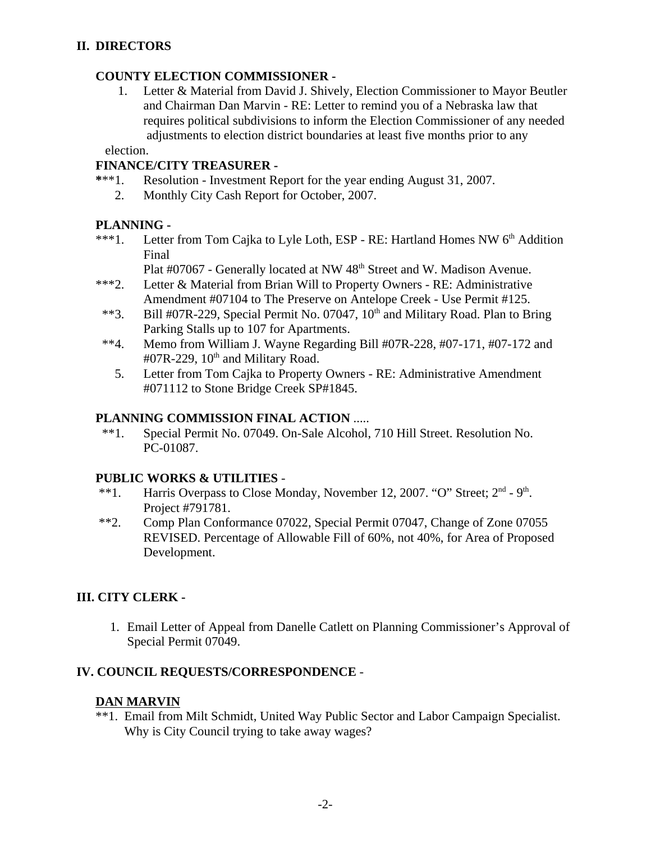## **COUNTY ELECTION COMMISSIONER -**

 1. Letter & Material from David J. Shively, Election Commissioner to Mayor Beutler and Chairman Dan Marvin - RE: Letter to remind you of a Nebraska law that requires political subdivisions to inform the Election Commissioner of any needed adjustments to election district boundaries at least five months prior to any

election.

## **FINANCE/CITY TREASURER -**

- **\***\*\*1. Resolution Investment Report for the year ending August 31, 2007.
	- 2. Monthly City Cash Report for October, 2007.

## **PLANNING -**

\*\*\*1. Letter from Tom Cajka to Lyle Loth, ESP - RE: Hartland Homes NW 6<sup>th</sup> Addition Final

Plat #07067 - Generally located at NW 48<sup>th</sup> Street and W. Madison Avenue.

- \*\*\*2. Letter & Material from Brian Will to Property Owners RE: Administrative Amendment #07104 to The Preserve on Antelope Creek - Use Permit #125.
	- \*\*3. Bill #07R-229, Special Permit No. 07047,  $10<sup>th</sup>$  and Military Road. Plan to Bring Parking Stalls up to 107 for Apartments.
	- \*\*4. Memo from William J. Wayne Regarding Bill #07R-228, #07-171, #07-172 and  $\text{\#07R-229}$ ,  $10^{\text{th}}$  and Military Road.
		- 5. Letter from Tom Cajka to Property Owners RE: Administrative Amendment #071112 to Stone Bridge Creek SP#1845.

## **PLANNING COMMISSION FINAL ACTION** .....

 \*\*1. Special Permit No. 07049. On-Sale Alcohol, 710 Hill Street. Resolution No. PC-01087.

#### **PUBLIC WORKS & UTILITIES** -

- \*\*1. Harris Overpass to Close Monday, November 12, 2007. "O" Street;  $2<sup>nd</sup>$  9<sup>th</sup>. Project #791781.
- \*\*2. Comp Plan Conformance 07022, Special Permit 07047, Change of Zone 07055 REVISED. Percentage of Allowable Fill of 60%, not 40%, for Area of Proposed Development.

# **III. CITY CLERK -**

1. Email Letter of Appeal from Danelle Catlett on Planning Commissioner's Approval of Special Permit 07049.

## **IV. COUNCIL REQUESTS/CORRESPONDENCE** -

## **DAN MARVIN**

\*\*1. Email from Milt Schmidt, United Way Public Sector and Labor Campaign Specialist. Why is City Council trying to take away wages?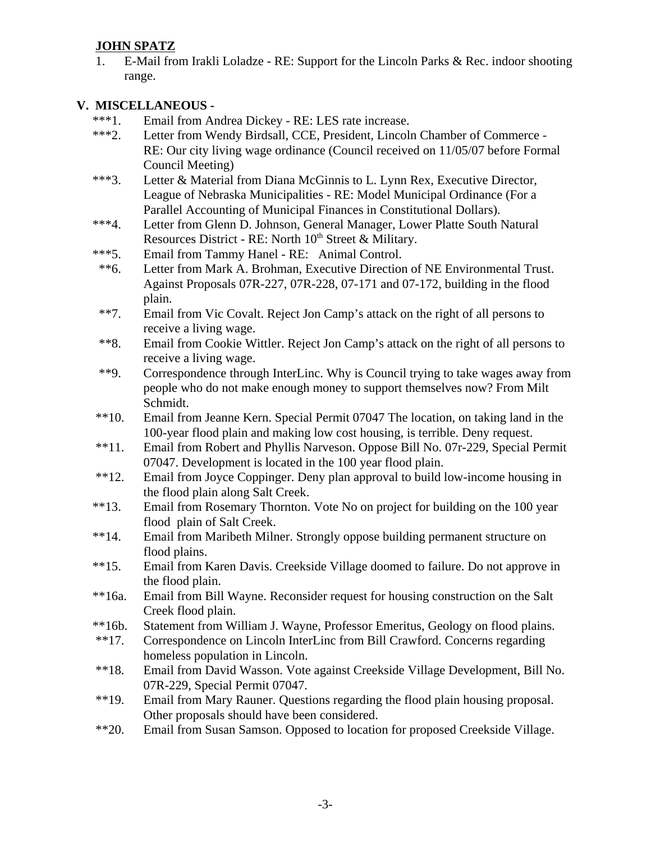# **JOHN SPATZ**

1. E-Mail from Irakli Loladze - RE: Support for the Lincoln Parks & Rec. indoor shooting range.

## **V. MISCELLANEOUS -**

- \*\*\*1. Email from Andrea Dickey RE: LES rate increase.
- \*\*\*2. Letter from Wendy Birdsall, CCE, President, Lincoln Chamber of Commerce RE: Our city living wage ordinance (Council received on 11/05/07 before Formal Council Meeting)
- \*\*\*3. Letter & Material from Diana McGinnis to L. Lynn Rex, Executive Director, League of Nebraska Municipalities - RE: Model Municipal Ordinance (For a Parallel Accounting of Municipal Finances in Constitutional Dollars).
- \*\*\*4. Letter from Glenn D. Johnson, General Manager, Lower Platte South Natural Resources District - RE: North  $10<sup>th</sup>$  Street & Military.
- \*\*\*5. Email from Tammy Hanel RE: Animal Control.
- \*\*6. Letter from Mark A. Brohman, Executive Direction of NE Environmental Trust. Against Proposals 07R-227, 07R-228, 07-171 and 07-172, building in the flood plain.
- \*\*7. Email from Vic Covalt. Reject Jon Camp's attack on the right of all persons to receive a living wage.
- \*\*8. Email from Cookie Wittler. Reject Jon Camp's attack on the right of all persons to receive a living wage.
- \*\*9. Correspondence through InterLinc. Why is Council trying to take wages away from people who do not make enough money to support themselves now? From Milt Schmidt.
- \*\*10. Email from Jeanne Kern. Special Permit 07047 The location, on taking land in the 100-year flood plain and making low cost housing, is terrible. Deny request.
- \*\*11. Email from Robert and Phyllis Narveson. Oppose Bill No. 07r-229, Special Permit 07047. Development is located in the 100 year flood plain.
- \*\*12. Email from Joyce Coppinger. Deny plan approval to build low-income housing in the flood plain along Salt Creek.
- \*\*13. Email from Rosemary Thornton. Vote No on project for building on the 100 year flood plain of Salt Creek.
- \*\*14. Email from Maribeth Milner. Strongly oppose building permanent structure on flood plains.
- \*\*15. Email from Karen Davis. Creekside Village doomed to failure. Do not approve in the flood plain.
- \*\*16a. Email from Bill Wayne. Reconsider request for housing construction on the Salt Creek flood plain.
- \*\*16b. Statement from William J. Wayne, Professor Emeritus, Geology on flood plains.
- \*\*17. Correspondence on Lincoln InterLinc from Bill Crawford. Concerns regarding homeless population in Lincoln.
- \*\*18. Email from David Wasson. Vote against Creekside Village Development, Bill No. 07R-229, Special Permit 07047.
- \*\*19. Email from Mary Rauner. Questions regarding the flood plain housing proposal. Other proposals should have been considered.
- \*\*20. Email from Susan Samson. Opposed to location for proposed Creekside Village.